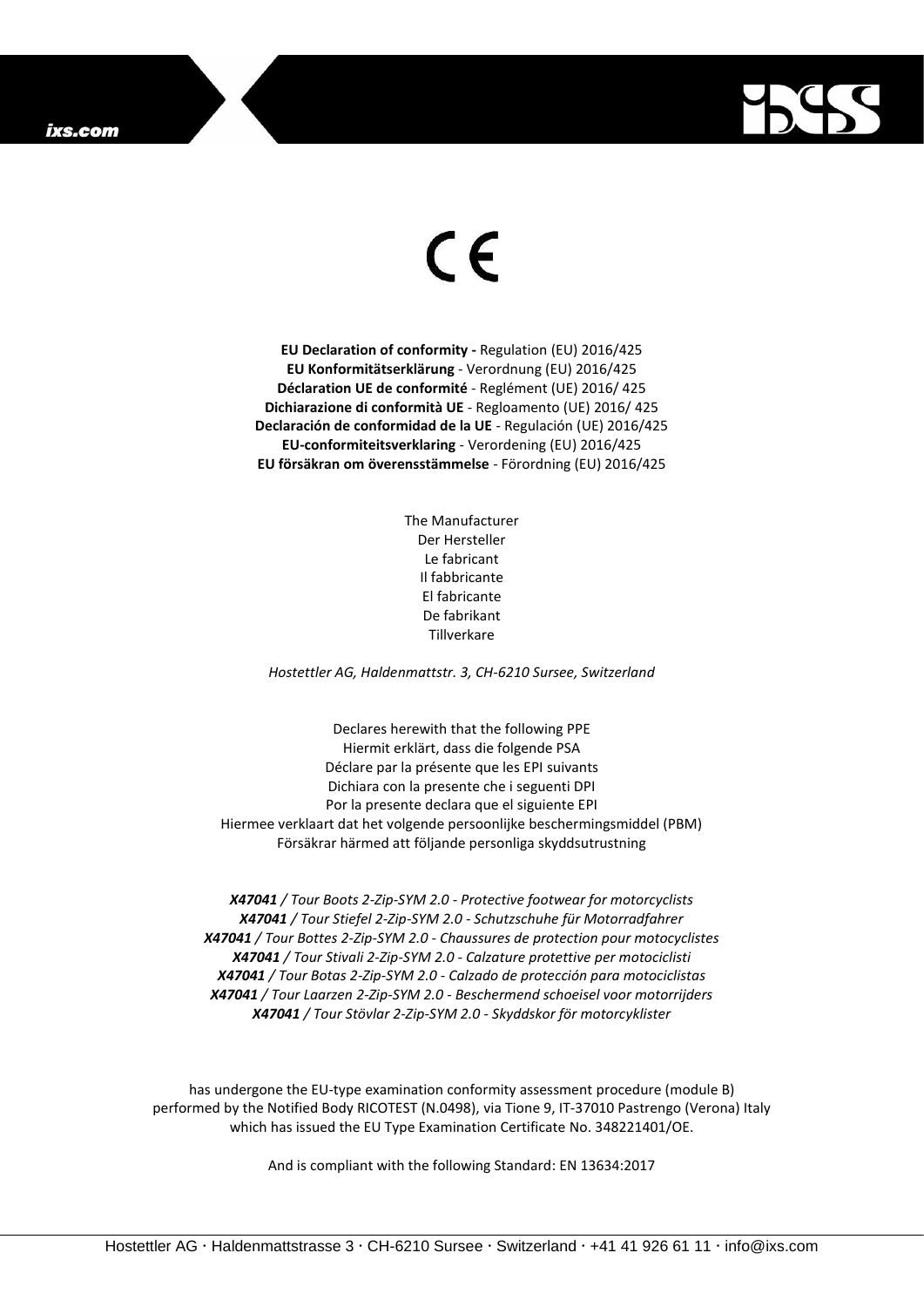## ixs.com



## $\epsilon$

**EU Declaration of conformity -** Regulation (EU) 2016/425 **EU Konformitätserklärung** - Verordnung (EU) 2016/425 **Déclaration UE de conformité** - Reglément (UE) 2016/ 425 **Dichiarazione di conformità UE** - Regloamento (UE) 2016/ 425 **Declaración de conformidad de la UE** - Regulación (UE) 2016/425 **EU-conformiteitsverklaring** - Verordening (EU) 2016/425 **EU försäkran om överensstämmelse** - Förordning (EU) 2016/425

> The Manufacturer Der Hersteller Le fabricant Il fabbricante El fabricante De fabrikant Tillverkare

*Hostettler AG, Haldenmattstr. 3, CH-6210 Sursee, Switzerland*

Declares herewith that the following PPE Hiermit erklärt, dass die folgende PSA Déclare par la présente que les EPI suivants Dichiara con la presente che i seguenti DPI Por la presente declara que el siguiente EPI Hiermee verklaart dat het volgende persoonlijke beschermingsmiddel (PBM) Försäkrar härmed att följande personliga skyddsutrustning

*X47041 / Tour Boots 2-Zip-SYM 2.0 - Protective footwear for motorcyclists X47041 / Tour Stiefel 2-Zip-SYM 2.0 - Schutzschuhe für Motorradfahrer X47041 / Tour Bottes 2-Zip-SYM 2.0 - Chaussures de protection pour motocyclistes X47041 / Tour Stivali 2-Zip-SYM 2.0 - Calzature protettive per motociclisti X47041 / Tour Botas 2-Zip-SYM 2.0 - Calzado de protección para motociclistas X47041 / Tour Laarzen 2-Zip-SYM 2.0 - Beschermend schoeisel voor motorrijders X47041 / Tour Stövlar 2-Zip-SYM 2.0 - Skyddskor för motorcyklister*

has undergone the EU-type examination conformity assessment procedure (module B) performed by the Notified Body RICOTEST (N.0498), via Tione 9, IT-37010 Pastrengo (Verona) Italy which has issued the EU Type Examination Certificate No. 348221401/OE.

And is compliant with the following Standard: EN 13634:2017